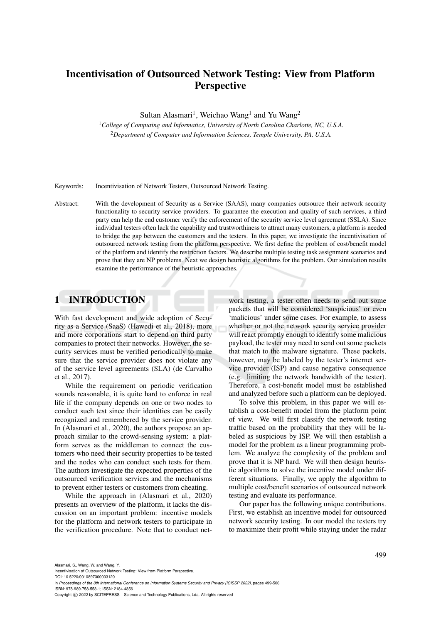# Incentivisation of Outsourced Network Testing: View from Platform **Perspective**

Sultan Alasmari<sup>1</sup>, Weichao Wang<sup>1</sup> and Yu Wang<sup>2</sup>

<sup>1</sup>*College of Computing and Informatics, University of North Carolina Charlotte, NC, U.S.A.* <sup>2</sup>*Department of Computer and Information Sciences, Temple University, PA, U.S.A.*

Keywords: Incentivisation of Network Testers, Outsourced Network Testing.

Abstract: With the development of Security as a Service (SAAS), many companies outsource their network security functionality to security service providers. To guarantee the execution and quality of such services, a third party can help the end customer verify the enforcement of the security service level agreement (SSLA). Since individual testers often lack the capability and trustworthiness to attract many customers, a platform is needed to bridge the gap between the customers and the testers. In this paper, we investigate the incentivisation of outsourced network testing from the platform perspective. We first define the problem of cost/benefit model of the platform and identify the restriction factors. We describe multiple testing task assignment scenarios and prove that they are NP problems. Next we design heuristic algorithms for the problem. Our simulation results examine the performance of the heuristic approaches.

# 1 INTRODUCTION

With fast development and wide adoption of Security as a Service (SaaS) (Hawedi et al., 2018), more and more corporations start to depend on third party companies to protect their networks. However, the security services must be verified periodically to make sure that the service provider does not violate any of the service level agreements (SLA) (de Carvalho et al., 2017).

While the requirement on periodic verification sounds reasonable, it is quite hard to enforce in real life if the company depends on one or two nodes to conduct such test since their identities can be easily recognized and remembered by the service provider. In (Alasmari et al., 2020), the authors propose an approach similar to the crowd-sensing system: a platform serves as the middleman to connect the customers who need their security properties to be tested and the nodes who can conduct such tests for them. The authors investigate the expected properties of the outsourced verification services and the mechanisms to prevent either testers or customers from cheating.

While the approach in (Alasmari et al., 2020) presents an overview of the platform, it lacks the discussion on an important problem: incentive models for the platform and network testers to participate in the verification procedure. Note that to conduct network testing, a tester often needs to send out some packets that will be considered 'suspicious' or even 'malicious' under some cases. For example, to assess whether or not the network security service provider will react promptly enough to identify some malicious payload, the tester may need to send out some packets that match to the malware signature. These packets, however, may be labeled by the tester's internet service provider (ISP) and cause negative consequence (e.g. limiting the network bandwidth of the tester). Therefore, a cost-benefit model must be established and analyzed before such a platform can be deployed.

To solve this problem, in this paper we will establish a cost-benefit model from the platform point of view. We will first classify the network testing traffic based on the probability that they will be labeled as suspicious by ISP. We will then establish a model for the problem as a linear programming problem. We analyze the complexity of the problem and prove that it is NP hard. We will then design heuristic algorithms to solve the incentive model under different situations. Finally, we apply the algorithm to multiple cost/benefit scenarios of outsourced network testing and evaluate its performance.

Our paper has the following unique contributions. First, we establish an incentive model for outsourced network security testing. In our model the testers try to maximize their profit while staying under the radar

In *Proceedings of the 8th International Conference on Information Systems Security and Privacy (ICISSP 2022)*, pages 499-506 ISBN: 978-989-758-553-1; ISSN: 2184-4356

Copyright (C) 2022 by SCITEPRESS - Science and Technology Publications, Lda. All rights reserved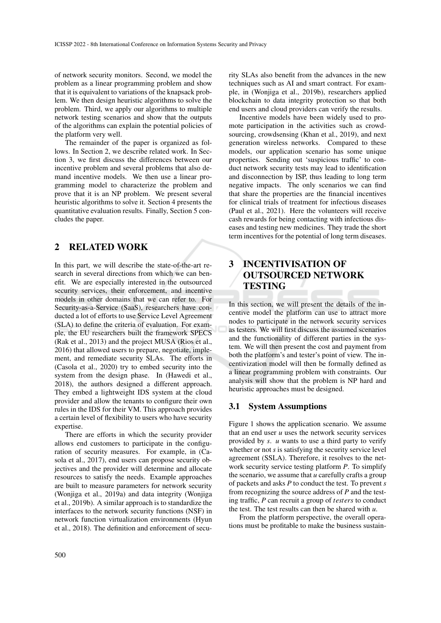of network security monitors. Second, we model the problem as a linear programming problem and show that it is equivalent to variations of the knapsack problem. We then design heuristic algorithms to solve the problem. Third, we apply our algorithms to multiple network testing scenarios and show that the outputs of the algorithms can explain the potential policies of the platform very well.

The remainder of the paper is organized as follows. In Section 2, we describe related work. In Section 3, we first discuss the differences between our incentive problem and several problems that also demand incentive models. We then use a linear programming model to characterize the problem and prove that it is an NP problem. We present several heuristic algorithms to solve it. Section 4 presents the quantitative evaluation results. Finally, Section 5 concludes the paper.

# 2 RELATED WORK

In this part, we will describe the state-of-the-art research in several directions from which we can benefit. We are especially interested in the outsourced security services, their enforcement, and incentive models in other domains that we can refer to. For Security-as-a-Service (SaaS), researchers have conducted a lot of efforts to use Service Level Agreement (SLA) to define the criteria of evaluation. For example, the EU researchers built the framework SPECS (Rak et al., 2013) and the project MUSA (Rios et al., 2016) that allowed users to prepare, negotiate, implement, and remediate security SLAs. The efforts in (Casola et al., 2020) try to embed security into the system from the design phase. In (Hawedi et al., 2018), the authors designed a different approach. They embed a lightweight IDS system at the cloud provider and allow the tenants to configure their own rules in the IDS for their VM. This approach provides a certain level of flexibility to users who have security expertise.

There are efforts in which the security provider allows end customers to participate in the configuration of security measures. For example, in (Casola et al., 2017), end users can propose security objectives and the provider will determine and allocate resources to satisfy the needs. Example approaches are built to measure parameters for network security (Wonjiga et al., 2019a) and data integrity (Wonjiga et al., 2019b). A similar approach is to standardize the interfaces to the network security functions (NSF) in network function virtualization environments (Hyun et al., 2018). The definition and enforcement of security SLAs also benefit from the advances in the new techniques such as AI and smart contract. For example, in (Wonjiga et al., 2019b), researchers applied blockchain to data integrity protection so that both end users and cloud providers can verify the results.

Incentive models have been widely used to promote participation in the activities such as crowdsourcing, crowdsensing (Khan et al., 2019), and next generation wireless networks. Compared to these models, our application scenario has some unique properties. Sending out 'suspicious traffic' to conduct network security tests may lead to identification and disconnection by ISP, thus leading to long term negative impacts. The only scenarios we can find that share the properties are the financial incentives for clinical trials of treatment for infectious diseases (Paul et al., 2021). Here the volunteers will receive cash rewards for being contacting with infectious diseases and testing new medicines. They trade the short term incentives for the potential of long term diseases.

# 3 INCENTIVISATION OF OUTSOURCED NETWORK TESTING

In this section, we will present the details of the incentive model the platform can use to attract more nodes to participate in the network security services as testers. We will first discuss the assumed scenarios and the functionality of different parties in the system. We will then present the cost and payment from both the platform's and tester's point of view. The incentivization model will then be formally defined as a linear programming problem with constraints. Our analysis will show that the problem is NP hard and heuristic approaches must be designed.

## 3.1 System Assumptions

Figure 1 shows the application scenario. We assume that an end user  $u$  uses the network security services provided by *s*. *u* wants to use a third party to verify whether or not *s* is satisfying the security service level agreement (SSLA). Therefore, it resolves to the network security service testing platform *P*. To simplify the scenario, we assume that *u* carefully crafts a group of packets and asks *P* to conduct the test. To prevent *s* from recognizing the source address of *P* and the testing traffic, *P* can recruit a group of *testers* to conduct the test. The test results can then be shared with *u*.

From the platform perspective, the overall operations must be profitable to make the business sustain-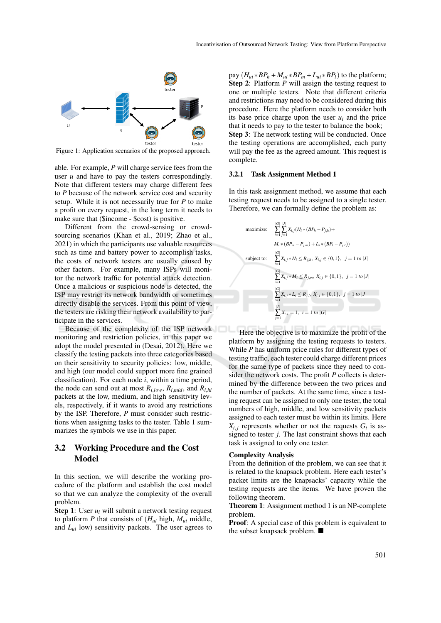

Figure 1: Application scenarios of the proposed approach.

able. For example, *P* will charge service fees from the user *u* and have to pay the testers correspondingly. Note that different testers may charge different fees to *P* because of the network service cost and security setup. While it is not necessarily true for *P* to make a profit on every request, in the long term it needs to make sure that (\$income - \$cost) is positive.

Different from the crowd-sensing or crowdsourcing scenarios (Khan et al., 2019; Zhao et al., 2021) in which the participants use valuable resources such as time and battery power to accomplish tasks, the costs of network testers are usually caused by other factors. For example, many ISPs will monitor the network traffic for potential attack detection. Once a malicious or suspicious node is detected, the ISP may restrict its network bandwidth or sometimes directly disable the services. From this point of view, the testers are risking their network availability to participate in the services.

Because of the complexity of the ISP network monitoring and restriction policies, in this paper we adopt the model presented in (Desai, 2012). Here we classify the testing packets into three categories based on their sensitivity to security policies: low, middle, and high (our model could support more fine grained classification). For each node *i*, within a time period, the node can send out at most  $R_{i,low}$ ,  $R_{i,mid}$ , and  $R_{i,hi}$ packets at the low, medium, and high sensitivity levels, respectively, if it wants to avoid any restrictions by the ISP. Therefore, *P* must consider such restrictions when assigning tasks to the tester. Table 1 summarizes the symbols we use in this paper.

## 3.2 Working Procedure and the Cost **Model**

In this section, we will describe the working procedure of the platform and establish the cost model so that we can analyze the complexity of the overall problem.

**Step 1:** User  $u_i$  will submit a network testing request to platform  $P$  that consists of  $(H_{ui}$  high,  $M_{ui}$  middle, and *Lui* low) sensitivity packets. The user agrees to

pay  $(H_{ui} * BP_h + M_{ui} * BP_m + L_{ui} * BP_l)$  to the platform; Step 2: Platform *P* will assign the testing request to one or multiple testers. Note that different criteria and restrictions may need to be considered during this procedure. Here the platform needs to consider both its base price charge upon the user  $u_i$  and the price that it needs to pay to the tester to balance the book; Step 3: The network testing will be conducted. Once the testing operations are accomplished, each party will pay the fee as the agreed amount. This request is complete.

#### 3.2.1 Task Assignment Method 1

In this task assignment method, we assume that each testing request needs to be assigned to a single tester. Therefore, we can formally define the problem as:

maximize: 
$$
\sum_{i=1}^{|G|} \sum_{j=1}^{|J|} X_{i,j} (H_i * (BP_n - P_{j,h}) +
$$

$$
M_i * (BP_m - P_{j,m}) + L_i * (BP_l - P_{j,l}))
$$
subject to: 
$$
\sum_{i=1}^{|G|} X_{i,j} * H_i \le R_{j,h}, X_{i,j} \in \{0, 1\}, j = 1 \text{ to } |J|
$$

$$
\sum_{i=1}^{|G|} X_{i,j} * M_i \le R_{j,m}, X_{i,j} \in \{0, 1\}, j = 1 \text{ to } |J|
$$

$$
\sum_{i=1}^{|G|} X_{i,j} * L_i \le R_{j,l}, X_{i,j} \in \{0, 1\}, j = 1 \text{ to } |J|
$$

$$
\sum_{i=1}^{|J|} X_{i,j} = 1, i = 1 \text{ to } |G|
$$

Here the objective is to maximize the profit of the platform by assigning the testing requests to testers. While *P* has uniform price rules for different types of testing traffic, each tester could charge different prices for the same type of packets since they need to consider the network costs. The profit *P* collects is determined by the difference between the two prices and the number of packets. At the same time, since a testing request can be assigned to only one tester, the total numbers of high, middle, and low sensitivity packets assigned to each tester must be within its limits. Here  $X_{i,j}$  represents whether or not the requests  $G_i$  is assigned to tester *j*. The last constraint shows that each task is assigned to only one tester.

#### Complexity Analysis

From the definition of the problem, we can see that it is related to the knapsack problem. Here each tester's packet limits are the knapsacks' capacity while the testing requests are the items. We have proven the following theorem.

Theorem 1: Assignment method 1 is an NP-complete problem.

Proof: A special case of this problem is equivalent to the subset knapsack problem.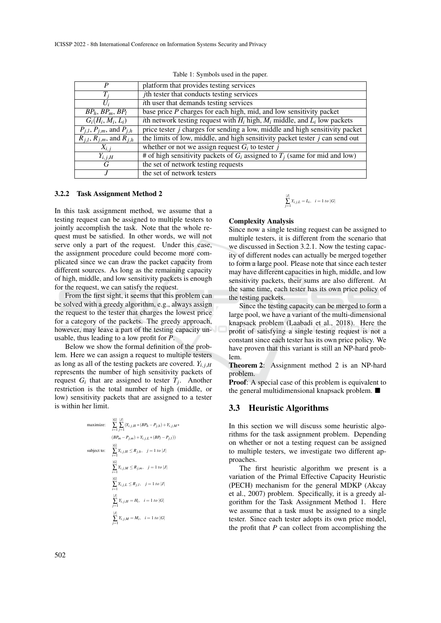| P                                        | platform that provides testing services                                                  |
|------------------------------------------|------------------------------------------------------------------------------------------|
| $T_i$                                    | <i>j</i> th tester that conducts testing services                                        |
| $U_i$                                    | <i>ith</i> user that demands testing services                                            |
| $BP_h$ , $BP_m$ , $BP_l$                 | base price $P$ charges for each high, mid, and low sensitivity packet                    |
| $G_i(H_i, M_i, L_i)$                     | <i>i</i> th network testing request with $H_i$ high, $M_i$ middle, and $L_i$ low packets |
| $P_{j,l}, P_{j,m},$ and $P_{j,h}$        | price tester <i>j</i> charges for sending a low, middle and high sensitivity packet      |
| $R_{j,l}, R_{j,m}, \text{ and } R_{j,h}$ | the limits of low, middle, and high sensitivity packet tester $j$ can send out           |
| $X_{i,j}$                                | whether or not we assign request $G_i$ to tester j                                       |
| $Y_{i,j,H}$                              | # of high sensitivity packets of $G_i$ assigned to $T_i$ (same for mid and low)          |
| G                                        | the set of network testing requests                                                      |
|                                          | the set of network testers                                                               |

#### 3.2.2 Task Assignment Method 2

In this task assignment method, we assume that a testing request can be assigned to multiple testers to jointly accomplish the task. Note that the whole request must be satisfied. In other words, we will not serve only a part of the request. Under this case, the assignment procedure could become more complicated since we can draw the packet capacity from different sources. As long as the remaining capacity of high, middle, and low sensitivity packets is enough for the request, we can satisfy the request.

From the first sight, it seems that this problem can be solved with a greedy algorithm, e.g., always assign the request to the tester that charges the lowest price for a category of the packets. The greedy approach, however, may leave a part of the testing capacity unusable, thus leading to a low profit for *P*.

Below we show the formal definition of the problem. Here we can assign a request to multiple testers as long as all of the testing packets are covered.  $Y_{i,j,H}$ represents the number of high sensitivity packets of request  $G_i$  that are assigned to tester  $T_j$ . Another restriction is the total number of high (middle, or low) sensitivity packets that are assigned to a tester is within her limit.

maximize: 
$$
\sum_{i=1}^{|G|} \sum_{j=1}^{|J|} (Y_{i,j,H} * (BP_h - P_{j,h}) + Y_{i,j,M} * (BP_m - P_{j,m}) + Y_{i,j,L} * (BP_l - P_{j,l}))
$$
  
\nsubject to: 
$$
\sum_{i=1}^{|G|} Y_{i,j,H} \le R_{j,h}, \quad j = 1 \text{ to } |J|
$$

$$
\sum_{i=1}^{|G|} Y_{i,j,M} \le R_{j,m}, \quad j = 1 \text{ to } |J|
$$

$$
\sum_{i=1}^{|G|} Y_{i,j,L} \le R_{j,l}, \quad j = 1 \text{ to } |J|
$$

$$
\sum_{j=1}^{|J|} Y_{i,j,H} = H_i, \quad i = 1 \text{ to } |G|
$$

$$
\sum_{j=1}^{|J|} Y_{i,j,M} = M_i, \quad i = 1 \text{ to } |G|
$$

# $\sum_{j=1}^{|J|} Y_{i,j,L} = L_i$ ,  $i = 1$  *to*  $|G|$

#### Complexity Analysis

Since now a single testing request can be assigned to multiple testers, it is different from the scenario that we discussed in Section 3.2.1. Now the testing capacity of different nodes can actually be merged together to form a large pool. Please note that since each tester may have different capacities in high, middle, and low sensitivity packets, their sums are also different. At the same time, each tester has its own price policy of the testing packets.

Since the testing capacity can be merged to form a large pool, we have a variant of the multi-dimensional knapsack problem (Laabadi et al., 2018). Here the profit of satisfying a single testing request is not a constant since each tester has its own price policy. We have proven that this variant is still an NP-hard problem.

Theorem 2: Assignment method 2 is an NP-hard problem.

Proof: A special case of this problem is equivalent to the general multidimensional knapsack problem. ■

## 3.3 Heuristic Algorithms

In this section we will discuss some heuristic algorithms for the task assignment problem. Depending on whether or not a testing request can be assigned to multiple testers, we investigate two different approaches.

The first heuristic algorithm we present is a variation of the Primal Effective Capacity Heuristic (PECH) mechanism for the general MDKP (Akcay et al., 2007) problem. Specifically, it is a greedy algorithm for the Task Assignment Method 1. Here we assume that a task must be assigned to a single tester. Since each tester adopts its own price model, the profit that *P* can collect from accomplishing the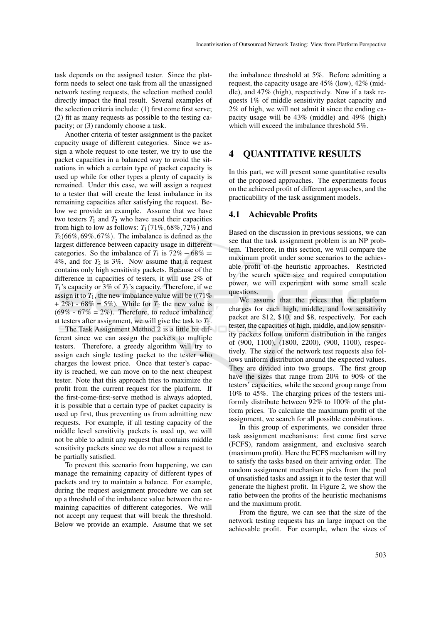task depends on the assigned tester. Since the platform needs to select one task from all the unassigned network testing requests, the selection method could directly impact the final result. Several examples of the selection criteria include: (1) first come first serve; (2) fit as many requests as possible to the testing capacity; or (3) randomly choose a task.

Another criteria of tester assignment is the packet capacity usage of different categories. Since we assign a whole request to one tester, we try to use the packet capacities in a balanced way to avoid the situations in which a certain type of packet capacity is used up while for other types a plenty of capacity is remained. Under this case, we will assign a request to a tester that will create the least imbalance in its remaining capacities after satisfying the request. Below we provide an example. Assume that we have two testers  $T_1$  and  $T_2$  who have used their capacities from high to low as follows:  $T_1(71\%, 68\%, 72\%)$  and  $T_2(66\%, 69\%, 67\%)$ . The imbalance is defined as the largest difference between capacity usage in different categories. So the imbalance of  $T_1$  is  $72\% - 68\% =$ 4%, and for  $T_2$  is 3%. Now assume that a request contains only high sensitivity packets. Because of the difference in capacities of testers, it will use 2% of *T*1's capacity or 3% of *T*2's capacity. Therefore, if we assign it to  $T_1$ , the new imbalance value will be ((71%) + 2%) - 68% = 5%). While for  $T_2$  the new value is  $(69\% - 67\% = 2\%)$ . Therefore, to reduce imbalance at testers after assignment, we will give the task to  $T_2$ .

The Task Assignment Method 2 is a little bit different since we can assign the packets to multiple testers. Therefore, a greedy algorithm will try to assign each single testing packet to the tester who charges the lowest price. Once that tester's capacity is reached, we can move on to the next cheapest tester. Note that this approach tries to maximize the profit from the current request for the platform. If the first-come-first-serve method is always adopted, it is possible that a certain type of packet capacity is used up first, thus preventing us from admitting new requests. For example, if all testing capacity of the middle level sensitivity packets is used up, we will not be able to admit any request that contains middle sensitivity packets since we do not allow a request to be partially satisfied.

To prevent this scenario from happening, we can manage the remaining capacity of different types of packets and try to maintain a balance. For example, during the request assignment procedure we can set up a threshold of the imbalance value between the remaining capacities of different categories. We will not accept any request that will break the threshold. Below we provide an example. Assume that we set

the imbalance threshold at 5%. Before admitting a request, the capacity usage are 45% (low), 42% (middle), and 47% (high), respectively. Now if a task requests 1% of middle sensitivity packet capacity and 2% of high, we will not admit it since the ending capacity usage will be 43% (middle) and 49% (high) which will exceed the imbalance threshold 5%.

# 4 QUANTITATIVE RESULTS

In this part, we will present some quantitative results of the proposed approaches. The experiments focus on the achieved profit of different approaches, and the practicability of the task assignment models.

### 4.1 Achievable Profits

Based on the discussion in previous sessions, we can see that the task assignment problem is an NP problem. Therefore, in this section, we will compare the maximum profit under some scenarios to the achievable profit of the heuristic approaches. Restricted by the search space size and required computation power, we will experiment with some small scale questions.

We assume that the prices that the platform charges for each high, middle, and low sensitivity packet are \$12, \$10, and \$8, respectively. For each tester, the capacities of high, middle, and low sensitivity packets follow uniform distribution in the ranges of (900, 1100), (1800, 2200), (900, 1100), respectively. The size of the network test requests also follows uniform distribution around the expected values. They are divided into two groups. The first group have the sizes that range from 20% to 90% of the testers' capacities, while the second group range from 10% to 45%. The charging prices of the testers uniformly distribute between 92% to 100% of the platform prices. To calculate the maximum profit of the assignment, we search for all possible combinations.

In this group of experiments, we consider three task assignment mechanisms: first come first serve (FCFS), random assignment, and exclusive search (maximum profit). Here the FCFS mechanism will try to satisfy the tasks based on their arriving order. The random assignment mechanism picks from the pool of unsatisfied tasks and assign it to the tester that will generate the highest profit. In Figure 2, we show the ratio between the profits of the heuristic mechanisms and the maximum profit.

From the figure, we can see that the size of the network testing requests has an large impact on the achievable profit. For example, when the sizes of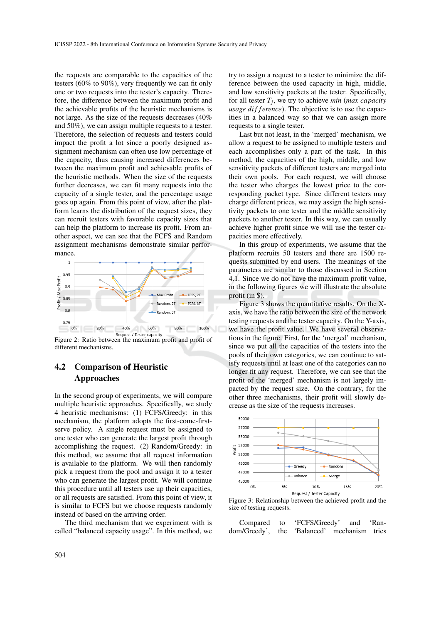the requests are comparable to the capacities of the testers (60% to 90%), very frequently we can fit only one or two requests into the tester's capacity. Therefore, the difference between the maximum profit and the achievable profits of the heuristic mechanisms is not large. As the size of the requests decreases (40% and 50%), we can assign multiple requests to a tester. Therefore, the selection of requests and testers could impact the profit a lot since a poorly designed assignment mechanism can often use low percentage of the capacity, thus causing increased differences between the maximum profit and achievable profits of the heuristic methods. When the size of the requests further decreases, we can fit many requests into the capacity of a single tester, and the percentage usage goes up again. From this point of view, after the platform learns the distribution of the request sizes, they can recruit testers with favorable capacity sizes that can help the platform to increase its profit. From another aspect, we can see that the FCFS and Random assignment mechanisms demonstrate similar performance.



Figure 2: Ratio between the maximum profit and profit of different mechanisms.

# 4.2 Comparison of Heuristic Approaches

In the second group of experiments, we will compare multiple heuristic approaches. Specifically, we study 4 heuristic mechanisms: (1) FCFS/Greedy: in this mechanism, the platform adopts the first-come-firstserve policy. A single request must be assigned to one tester who can generate the largest profit through accomplishing the request. (2) Random/Greedy: in this method, we assume that all request information is available to the platform. We will then randomly pick a request from the pool and assign it to a tester who can generate the largest profit. We will continue this procedure until all testers use up their capacities, or all requests are satisfied. From this point of view, it is similar to FCFS but we choose requests randomly instead of based on the arriving order.

The third mechanism that we experiment with is called "balanced capacity usage". In this method, we

try to assign a request to a tester to minimize the difference between the used capacity in high, middle, and low sensitivity packets at the tester. Specifically, for all tester *T<sup>j</sup>* , we try to achieve *min* (*max capacity usage difference*). The objective is to use the capacities in a balanced way so that we can assign more requests to a single tester.

Last but not least, in the 'merged' mechanism, we allow a request to be assigned to multiple testers and each accomplishes only a part of the task. In this method, the capacities of the high, middle, and low sensitivity packets of different testers are merged into their own pools. For each request, we will choose the tester who charges the lowest price to the corresponding packet type. Since different testers may charge different prices, we may assign the high sensitivity packets to one tester and the middle sensitivity packets to another tester. In this way, we can usually achieve higher profit since we will use the tester capacities more effectively.

In this group of experiments, we assume that the platform recruits 50 testers and there are 1500 requests submitted by end users. The meanings of the parameters are similar to those discussed in Section 4.1. Since we do not have the maximum profit value, in the following figures we will illustrate the absolute profit (in \$).

Figure 3 shows the quantitative results. On the Xaxis, we have the ratio between the size of the network testing requests and the tester capacity. On the Y-axis, we have the profit value. We have several observations in the figure. First, for the 'merged' mechanism, since we put all the capacities of the testers into the pools of their own categories, we can continue to satisfy requests until at least one of the categories can no longer fit any request. Therefore, we can see that the profit of the 'merged' mechanism is not largely impacted by the request size. On the contrary, for the other three mechanisms, their profit will slowly decrease as the size of the requests increases.



Figure 3: Relationship between the achieved profit and the size of testing requests.

Compared to 'FCFS/Greedy' and 'Random/Greedy', the 'Balanced' mechanism tries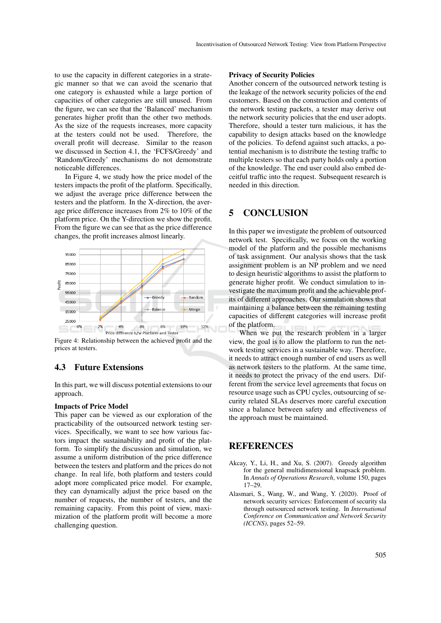to use the capacity in different categories in a strategic manner so that we can avoid the scenario that one category is exhausted while a large portion of capacities of other categories are still unused. From the figure, we can see that the 'Balanced' mechanism generates higher profit than the other two methods. As the size of the requests increases, more capacity at the testers could not be used. Therefore, the overall profit will decrease. Similar to the reason we discussed in Section 4.1, the 'FCFS/Greedy' and 'Random/Greedy' mechanisms do not demonstrate noticeable differences.

In Figure 4, we study how the price model of the testers impacts the profit of the platform. Specifically, we adjust the average price difference between the testers and the platform. In the X-direction, the average price difference increases from 2% to 10% of the platform price. On the Y-direction we show the profit. From the figure we can see that as the price difference changes, the profit increases almost linearly.



Figure 4: Relationship between the achieved profit and the prices at testers.

## 4.3 Future Extensions

In this part, we will discuss potential extensions to our approach.

#### Impacts of Price Model

This paper can be viewed as our exploration of the practicability of the outsourced network testing services. Specifically, we want to see how various factors impact the sustainability and profit of the platform. To simplify the discussion and simulation, we assume a uniform distribution of the price difference between the testers and platform and the prices do not change. In real life, both platform and testers could adopt more complicated price model. For example, they can dynamically adjust the price based on the number of requests, the number of testers, and the remaining capacity. From this point of view, maximization of the platform profit will become a more challenging question.

#### Privacy of Security Policies

Another concern of the outsourced network testing is the leakage of the network security policies of the end customers. Based on the construction and contents of the network testing packets, a tester may derive out the network security policies that the end user adopts. Therefore, should a tester turn malicious, it has the capability to design attacks based on the knowledge of the policies. To defend against such attacks, a potential mechanism is to distribute the testing traffic to multiple testers so that each party holds only a portion of the knowledge. The end user could also embed deceitful traffic into the request. Subsequent research is needed in this direction.

# 5 CONCLUSION

In this paper we investigate the problem of outsourced network test. Specifically, we focus on the working model of the platform and the possible mechanisms of task assignment. Our analysis shows that the task assignment problem is an NP problem and we need to design heuristic algorithms to assist the platform to generate higher profit. We conduct simulation to investigate the maximum profit and the achievable profits of different approaches. Our simulation shows that maintaining a balance between the remaining testing capacities of different categories will increase profit of the platform.

When we put the research problem in a larger view, the goal is to allow the platform to run the network testing services in a sustainable way. Therefore, it needs to attract enough number of end users as well as network testers to the platform. At the same time, it needs to protect the privacy of the end users. Different from the service level agreements that focus on resource usage such as CPU cycles, outsourcing of security related SLAs deserves more careful execution since a balance between safety and effectiveness of the approach must be maintained.

## **REFERENCES**

- Akcay, Y., Li, H., and Xu, S. (2007). Greedy algorithm for the general multidimensional knapsack problem. In *Annals of Operations Research*, volume 150, pages 17–29.
- Alasmari, S., Wang, W., and Wang, Y. (2020). Proof of network security services: Enforcement of security sla through outsourced network testing. In *International Conference on Communication and Network Security (ICCNS)*, pages 52–59.